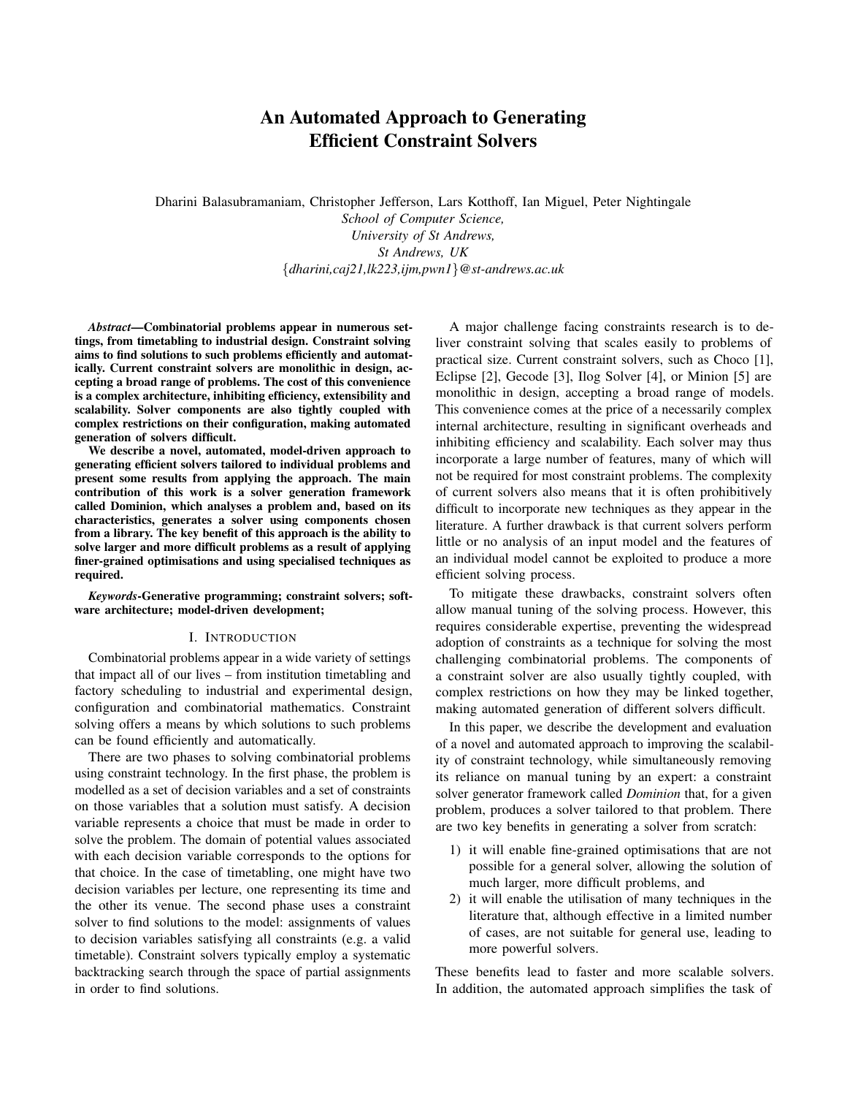# An Automated Approach to Generating Efficient Constraint Solvers

Dharini Balasubramaniam, Christopher Jefferson, Lars Kotthoff, Ian Miguel, Peter Nightingale

School of Computer Science, University of St Andrews, St Andrews, UK {dharini,caj21,lk223,ijm,pwn1}@st-andrews.ac.uk

Abstract—Combinatorial problems appear in numerous settings, from timetabling to industrial design. Constraint solving aims to find solutions to such problems efficiently and automatically. Current constraint solvers are monolithic in design, accepting a broad range of problems. The cost of this convenience is a complex architecture, inhibiting efficiency, extensibility and scalability. Solver components are also tightly coupled with complex restrictions on their configuration, making automated generation of solvers difficult.

We describe a novel, automated, model-driven approach to generating efficient solvers tailored to individual problems and present some results from applying the approach. The main contribution of this work is a solver generation framework called Dominion, which analyses a problem and, based on its characteristics, generates a solver using components chosen from a library. The key benefit of this approach is the ability to solve larger and more difficult problems as a result of applying finer-grained optimisations and using specialised techniques as required.

Keywords-Generative programming; constraint solvers; software architecture; model-driven development;

## I. INTRODUCTION

Combinatorial problems appear in a wide variety of settings that impact all of our lives – from institution timetabling and factory scheduling to industrial and experimental design, configuration and combinatorial mathematics. Constraint solving offers a means by which solutions to such problems can be found efficiently and automatically.

There are two phases to solving combinatorial problems using constraint technology. In the first phase, the problem is modelled as a set of decision variables and a set of constraints on those variables that a solution must satisfy. A decision variable represents a choice that must be made in order to solve the problem. The domain of potential values associated with each decision variable corresponds to the options for that choice. In the case of timetabling, one might have two decision variables per lecture, one representing its time and the other its venue. The second phase uses a constraint solver to find solutions to the model: assignments of values to decision variables satisfying all constraints (e.g. a valid timetable). Constraint solvers typically employ a systematic backtracking search through the space of partial assignments in order to find solutions.

A major challenge facing constraints research is to deliver constraint solving that scales easily to problems of practical size. Current constraint solvers, such as Choco [1], Eclipse [2], Gecode [3], Ilog Solver [4], or Minion [5] are monolithic in design, accepting a broad range of models. This convenience comes at the price of a necessarily complex internal architecture, resulting in significant overheads and inhibiting efficiency and scalability. Each solver may thus incorporate a large number of features, many of which will not be required for most constraint problems. The complexity of current solvers also means that it is often prohibitively difficult to incorporate new techniques as they appear in the literature. A further drawback is that current solvers perform little or no analysis of an input model and the features of an individual model cannot be exploited to produce a more efficient solving process.

To mitigate these drawbacks, constraint solvers often allow manual tuning of the solving process. However, this requires considerable expertise, preventing the widespread adoption of constraints as a technique for solving the most challenging combinatorial problems. The components of a constraint solver are also usually tightly coupled, with complex restrictions on how they may be linked together, making automated generation of different solvers difficult.

In this paper, we describe the development and evaluation of a novel and automated approach to improving the scalability of constraint technology, while simultaneously removing its reliance on manual tuning by an expert: a constraint solver generator framework called *Dominion* that, for a given problem, produces a solver tailored to that problem. There are two key benefits in generating a solver from scratch:

- 1) it will enable fine-grained optimisations that are not possible for a general solver, allowing the solution of much larger, more difficult problems, and
- 2) it will enable the utilisation of many techniques in the literature that, although effective in a limited number of cases, are not suitable for general use, leading to more powerful solvers.

These benefits lead to faster and more scalable solvers. In addition, the automated approach simplifies the task of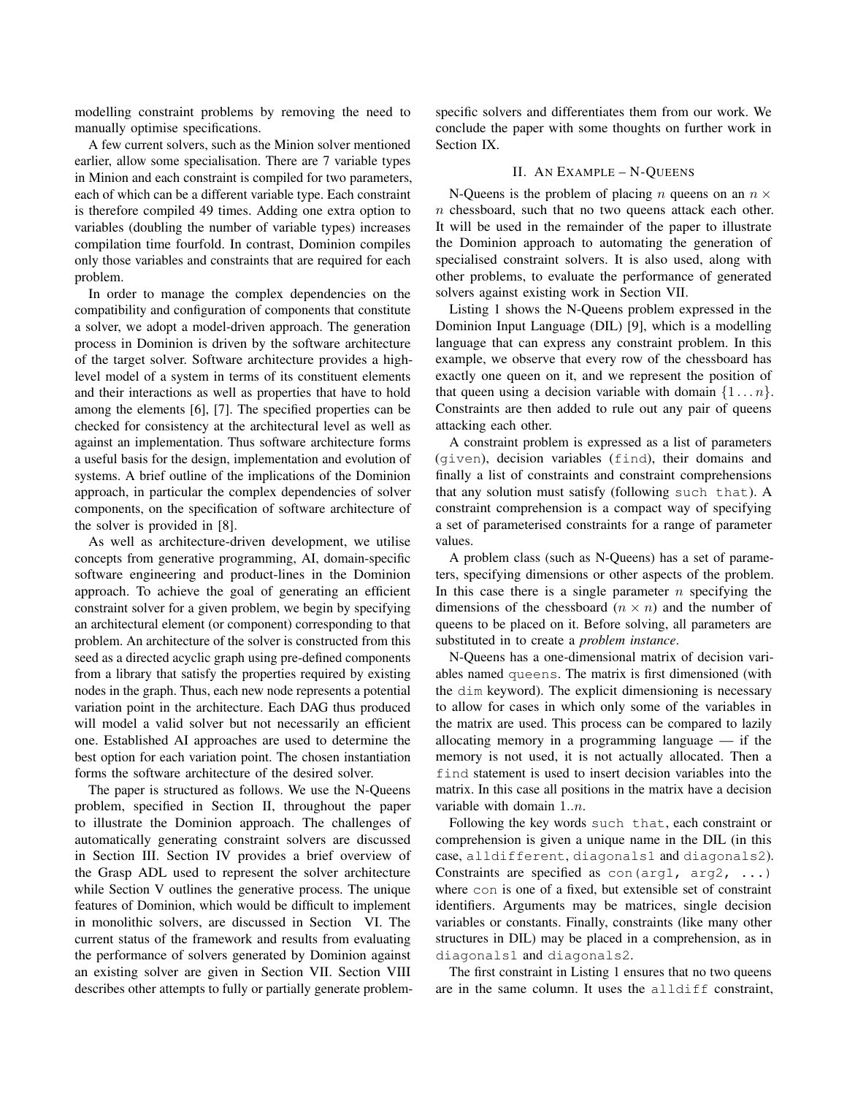modelling constraint problems by removing the need to manually optimise specifications.

A few current solvers, such as the Minion solver mentioned earlier, allow some specialisation. There are 7 variable types in Minion and each constraint is compiled for two parameters, each of which can be a different variable type. Each constraint is therefore compiled 49 times. Adding one extra option to variables (doubling the number of variable types) increases compilation time fourfold. In contrast, Dominion compiles only those variables and constraints that are required for each problem.

In order to manage the complex dependencies on the compatibility and configuration of components that constitute a solver, we adopt a model-driven approach. The generation process in Dominion is driven by the software architecture of the target solver. Software architecture provides a highlevel model of a system in terms of its constituent elements and their interactions as well as properties that have to hold among the elements [6], [7]. The specified properties can be checked for consistency at the architectural level as well as against an implementation. Thus software architecture forms a useful basis for the design, implementation and evolution of systems. A brief outline of the implications of the Dominion approach, in particular the complex dependencies of solver components, on the specification of software architecture of the solver is provided in [8].

As well as architecture-driven development, we utilise concepts from generative programming, AI, domain-specific software engineering and product-lines in the Dominion approach. To achieve the goal of generating an efficient constraint solver for a given problem, we begin by specifying an architectural element (or component) corresponding to that problem. An architecture of the solver is constructed from this seed as a directed acyclic graph using pre-defined components from a library that satisfy the properties required by existing nodes in the graph. Thus, each new node represents a potential variation point in the architecture. Each DAG thus produced will model a valid solver but not necessarily an efficient one. Established AI approaches are used to determine the best option for each variation point. The chosen instantiation forms the software architecture of the desired solver.

The paper is structured as follows. We use the N-Queens problem, specified in Section II, throughout the paper to illustrate the Dominion approach. The challenges of automatically generating constraint solvers are discussed in Section III. Section IV provides a brief overview of the Grasp ADL used to represent the solver architecture while Section V outlines the generative process. The unique features of Dominion, which would be difficult to implement in monolithic solvers, are discussed in Section VI. The current status of the framework and results from evaluating the performance of solvers generated by Dominion against an existing solver are given in Section VII. Section VIII describes other attempts to fully or partially generate problemspecific solvers and differentiates them from our work. We conclude the paper with some thoughts on further work in Section IX.

# II. AN EXAMPLE – N-QUEENS

N-Queens is the problem of placing n queens on an  $n \times$ n chessboard, such that no two queens attack each other. It will be used in the remainder of the paper to illustrate the Dominion approach to automating the generation of specialised constraint solvers. It is also used, along with other problems, to evaluate the performance of generated solvers against existing work in Section VII.

Listing 1 shows the N-Queens problem expressed in the Dominion Input Language (DIL) [9], which is a modelling language that can express any constraint problem. In this example, we observe that every row of the chessboard has exactly one queen on it, and we represent the position of that queen using a decision variable with domain  $\{1 \dots n\}$ . Constraints are then added to rule out any pair of queens attacking each other.

A constraint problem is expressed as a list of parameters (given), decision variables (find), their domains and finally a list of constraints and constraint comprehensions that any solution must satisfy (following such that). A constraint comprehension is a compact way of specifying a set of parameterised constraints for a range of parameter values.

A problem class (such as N-Queens) has a set of parameters, specifying dimensions or other aspects of the problem. In this case there is a single parameter  $n$  specifying the dimensions of the chessboard  $(n \times n)$  and the number of queens to be placed on it. Before solving, all parameters are substituted in to create a problem instance.

N-Queens has a one-dimensional matrix of decision variables named queens. The matrix is first dimensioned (with the dim keyword). The explicit dimensioning is necessary to allow for cases in which only some of the variables in the matrix are used. This process can be compared to lazily allocating memory in a programming language — if the memory is not used, it is not actually allocated. Then a find statement is used to insert decision variables into the matrix. In this case all positions in the matrix have a decision variable with domain 1..*n*.

Following the key words such that, each constraint or comprehension is given a unique name in the DIL (in this case, alldifferent, diagonals1 and diagonals2). Constraints are specified as  $con(\text{arg1}, \text{arg2}, \ldots)$ where con is one of a fixed, but extensible set of constraint identifiers. Arguments may be matrices, single decision variables or constants. Finally, constraints (like many other structures in DIL) may be placed in a comprehension, as in diagonals1 and diagonals2.

The first constraint in Listing 1 ensures that no two queens are in the same column. It uses the alldiff constraint,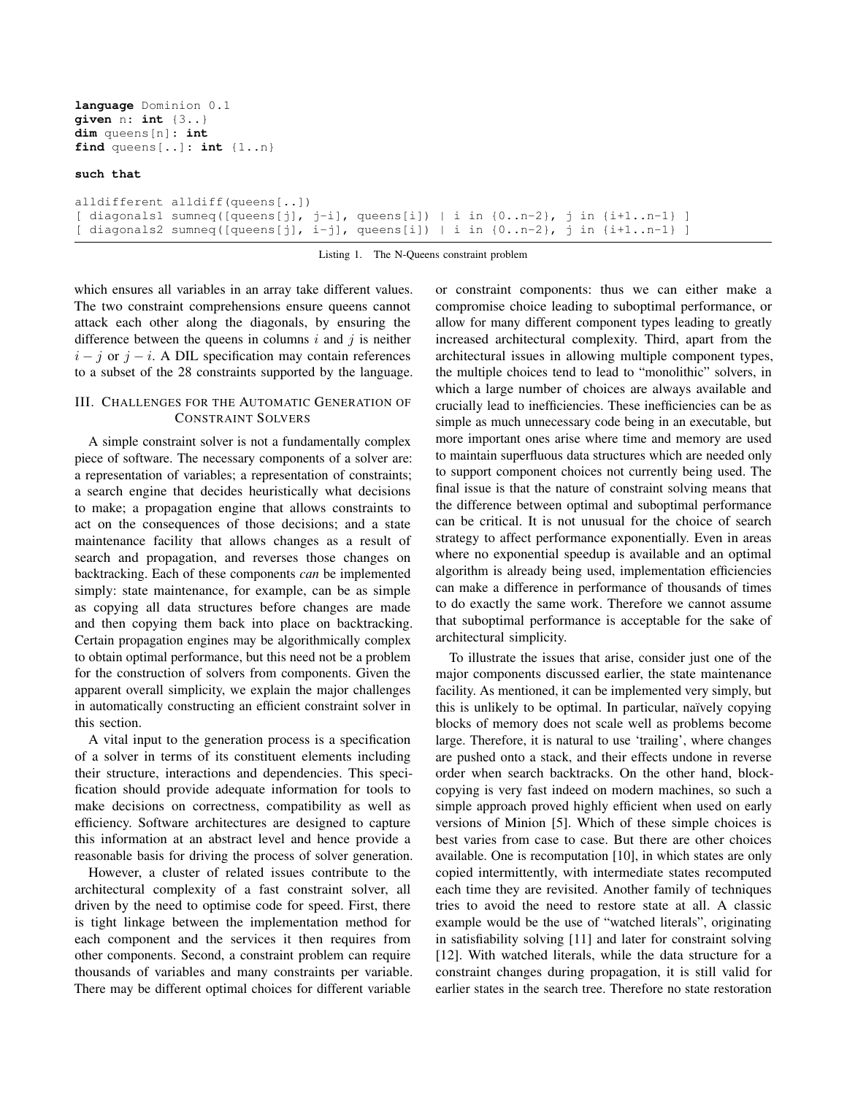language Dominion 0.1 given n: int {3..} dim queens[n]: int find queens  $[...]$ : int  $\{1..n\}$ 

#### such that

alldifferent alldiff(queens[..]) [ diagonals1 sumneq([queens[j], j-i], queens[i]) | i in  ${0..n-2}$ , j in  ${i+1..n-1}$  ] diagonals2 sumneq([queens[j], i-j], queens[i]) | i in  ${0..n-2}$ , j in  ${i+1..n-1}$  ]

Listing 1. The N-Queens constraint problem

which ensures all variables in an array take different values. The two constraint comprehensions ensure queens cannot attack each other along the diagonals, by ensuring the difference between the queens in columns  $i$  and  $j$  is neither  $i - j$  or  $j - i$ . A DIL specification may contain references to a subset of the 28 constraints supported by the language.

# III. CHALLENGES FOR THE AUTOMATIC GENERATION OF CONSTRAINT SOLVERS

A simple constraint solver is not a fundamentally complex piece of software. The necessary components of a solver are: a representation of variables; a representation of constraints; a search engine that decides heuristically what decisions to make; a propagation engine that allows constraints to act on the consequences of those decisions; and a state maintenance facility that allows changes as a result of search and propagation, and reverses those changes on backtracking. Each of these components can be implemented simply: state maintenance, for example, can be as simple as copying all data structures before changes are made and then copying them back into place on backtracking. Certain propagation engines may be algorithmically complex to obtain optimal performance, but this need not be a problem for the construction of solvers from components. Given the apparent overall simplicity, we explain the major challenges in automatically constructing an efficient constraint solver in this section.

A vital input to the generation process is a specification of a solver in terms of its constituent elements including their structure, interactions and dependencies. This specification should provide adequate information for tools to make decisions on correctness, compatibility as well as efficiency. Software architectures are designed to capture this information at an abstract level and hence provide a reasonable basis for driving the process of solver generation.

However, a cluster of related issues contribute to the architectural complexity of a fast constraint solver, all driven by the need to optimise code for speed. First, there is tight linkage between the implementation method for each component and the services it then requires from other components. Second, a constraint problem can require thousands of variables and many constraints per variable. There may be different optimal choices for different variable

or constraint components: thus we can either make a compromise choice leading to suboptimal performance, or allow for many different component types leading to greatly increased architectural complexity. Third, apart from the architectural issues in allowing multiple component types, the multiple choices tend to lead to "monolithic" solvers, in which a large number of choices are always available and crucially lead to inefficiencies. These inefficiencies can be as simple as much unnecessary code being in an executable, but more important ones arise where time and memory are used to maintain superfluous data structures which are needed only to support component choices not currently being used. The final issue is that the nature of constraint solving means that the difference between optimal and suboptimal performance can be critical. It is not unusual for the choice of search strategy to affect performance exponentially. Even in areas where no exponential speedup is available and an optimal algorithm is already being used, implementation efficiencies can make a difference in performance of thousands of times to do exactly the same work. Therefore we cannot assume that suboptimal performance is acceptable for the sake of architectural simplicity.

To illustrate the issues that arise, consider just one of the major components discussed earlier, the state maintenance facility. As mentioned, it can be implemented very simply, but this is unlikely to be optimal. In particular, naïvely copying blocks of memory does not scale well as problems become large. Therefore, it is natural to use 'trailing', where changes are pushed onto a stack, and their effects undone in reverse order when search backtracks. On the other hand, blockcopying is very fast indeed on modern machines, so such a simple approach proved highly efficient when used on early versions of Minion [5]. Which of these simple choices is best varies from case to case. But there are other choices available. One is recomputation [10], in which states are only copied intermittently, with intermediate states recomputed each time they are revisited. Another family of techniques tries to avoid the need to restore state at all. A classic example would be the use of "watched literals", originating in satisfiability solving [11] and later for constraint solving [12]. With watched literals, while the data structure for a constraint changes during propagation, it is still valid for earlier states in the search tree. Therefore no state restoration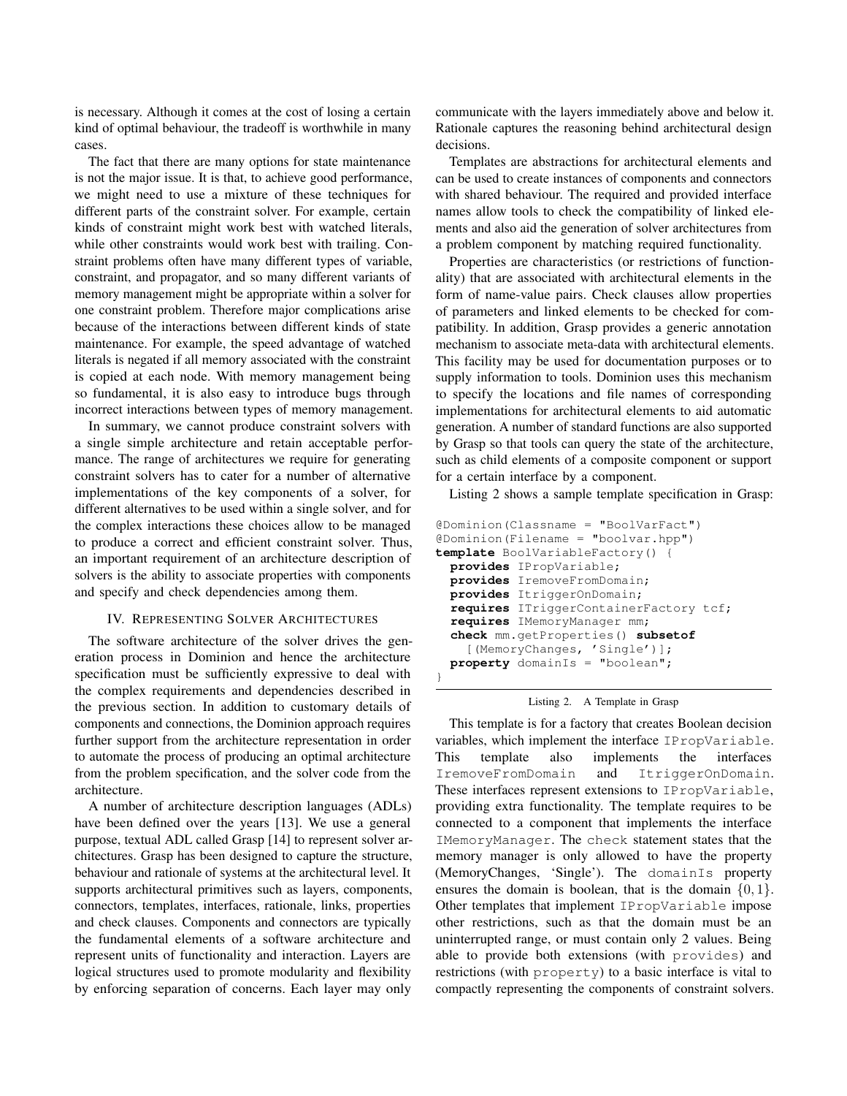is necessary. Although it comes at the cost of losing a certain kind of optimal behaviour, the tradeoff is worthwhile in many cases.

The fact that there are many options for state maintenance is not the major issue. It is that, to achieve good performance, we might need to use a mixture of these techniques for different parts of the constraint solver. For example, certain kinds of constraint might work best with watched literals, while other constraints would work best with trailing. Constraint problems often have many different types of variable, constraint, and propagator, and so many different variants of memory management might be appropriate within a solver for one constraint problem. Therefore major complications arise because of the interactions between different kinds of state maintenance. For example, the speed advantage of watched literals is negated if all memory associated with the constraint is copied at each node. With memory management being so fundamental, it is also easy to introduce bugs through incorrect interactions between types of memory management.

In summary, we cannot produce constraint solvers with a single simple architecture and retain acceptable performance. The range of architectures we require for generating constraint solvers has to cater for a number of alternative implementations of the key components of a solver, for different alternatives to be used within a single solver, and for the complex interactions these choices allow to be managed to produce a correct and efficient constraint solver. Thus, an important requirement of an architecture description of solvers is the ability to associate properties with components and specify and check dependencies among them.

#### IV. REPRESENTING SOLVER ARCHITECTURES

The software architecture of the solver drives the generation process in Dominion and hence the architecture specification must be sufficiently expressive to deal with the complex requirements and dependencies described in the previous section. In addition to customary details of components and connections, the Dominion approach requires further support from the architecture representation in order to automate the process of producing an optimal architecture from the problem specification, and the solver code from the architecture.

A number of architecture description languages (ADLs) have been defined over the years [13]. We use a general purpose, textual ADL called Grasp [14] to represent solver architectures. Grasp has been designed to capture the structure, behaviour and rationale of systems at the architectural level. It supports architectural primitives such as layers, components, connectors, templates, interfaces, rationale, links, properties and check clauses. Components and connectors are typically the fundamental elements of a software architecture and represent units of functionality and interaction. Layers are logical structures used to promote modularity and flexibility by enforcing separation of concerns. Each layer may only

communicate with the layers immediately above and below it. Rationale captures the reasoning behind architectural design decisions.

Templates are abstractions for architectural elements and can be used to create instances of components and connectors with shared behaviour. The required and provided interface names allow tools to check the compatibility of linked elements and also aid the generation of solver architectures from a problem component by matching required functionality.

Properties are characteristics (or restrictions of functionality) that are associated with architectural elements in the form of name-value pairs. Check clauses allow properties of parameters and linked elements to be checked for compatibility. In addition, Grasp provides a generic annotation mechanism to associate meta-data with architectural elements. This facility may be used for documentation purposes or to supply information to tools. Dominion uses this mechanism to specify the locations and file names of corresponding implementations for architectural elements to aid automatic generation. A number of standard functions are also supported by Grasp so that tools can query the state of the architecture, such as child elements of a composite component or support for a certain interface by a component.

Listing 2 shows a sample template specification in Grasp:

```
@Dominion(Classname = "BoolVarFact")
@Dominion(Filename = "boolvar.hpp")
template BoolVariableFactory() {
 provides IPropVariable;
  provides IremoveFromDomain;
  provides ItriggerOnDomain;
  requires ITriggerContainerFactory tcf;
  requires IMemoryManager mm;
  check mm.getProperties() subsetof
    [(MemoryChanges, 'Single')];
  property domainIs = "boolean";
}
```
Listing 2. A Template in Grasp

This template is for a factory that creates Boolean decision variables, which implement the interface IPropVariable. This template also implements the interfaces IremoveFromDomain and ItriggerOnDomain. These interfaces represent extensions to IPropVariable, providing extra functionality. The template requires to be connected to a component that implements the interface IMemoryManager. The check statement states that the memory manager is only allowed to have the property (MemoryChanges, 'Single'). The domainIs property ensures the domain is boolean, that is the domain  $\{0, 1\}$ . Other templates that implement IPropVariable impose other restrictions, such as that the domain must be an uninterrupted range, or must contain only 2 values. Being able to provide both extensions (with provides) and restrictions (with property) to a basic interface is vital to compactly representing the components of constraint solvers.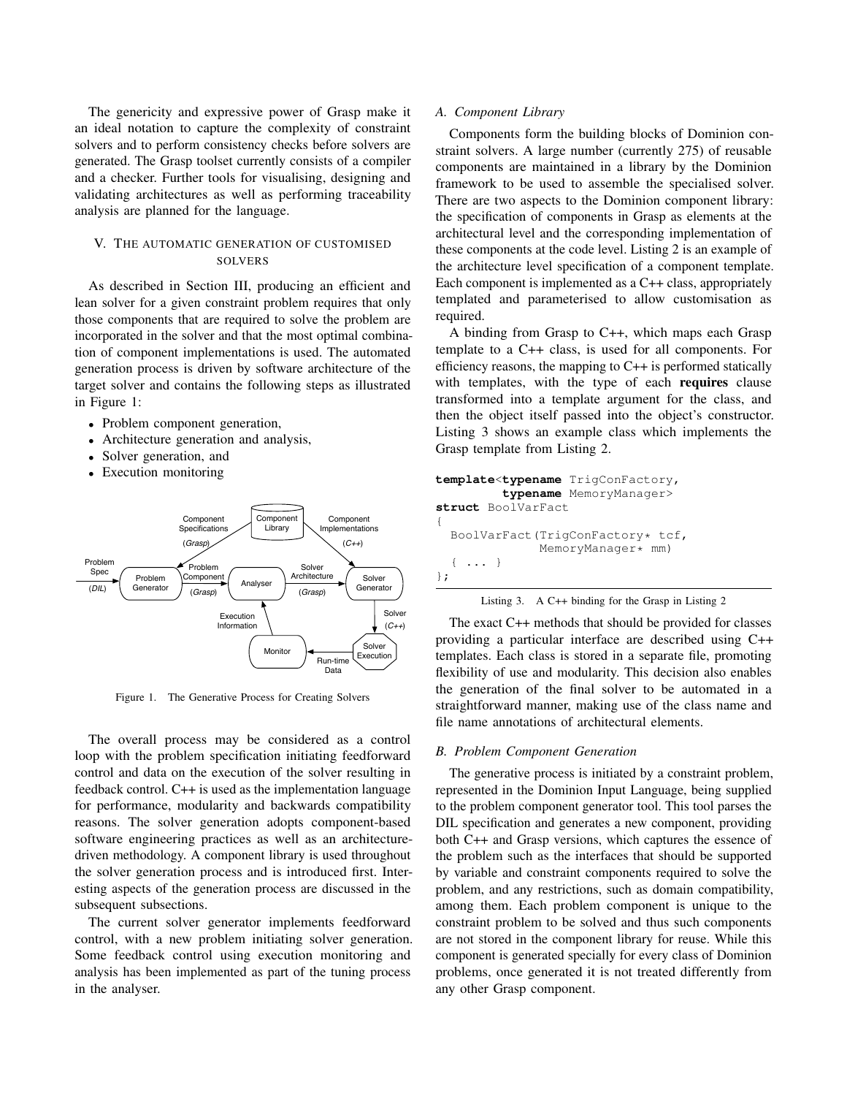The genericity and expressive power of Grasp make it an ideal notation to capture the complexity of constraint solvers and to perform consistency checks before solvers are generated. The Grasp toolset currently consists of a compiler and a checker. Further tools for visualising, designing and validating architectures as well as performing traceability analysis are planned for the language.

# V. THE AUTOMATIC GENERATION OF CUSTOMISED **SOLVERS**

As described in Section III, producing an efficient and lean solver for a given constraint problem requires that only those components that are required to solve the problem are incorporated in the solver and that the most optimal combination of component implementations is used. The automated generation process is driven by software architecture of the target solver and contains the following steps as illustrated in Figure 1:

- Problem component generation,
- Architecture generation and analysis,
- Solver generation, and
- Execution monitoring



Figure 1. The Generative Process for Creating Solvers

The overall process may be considered as a control loop with the problem specification initiating feedforward control and data on the execution of the solver resulting in feedback control. C++ is used as the implementation language for performance, modularity and backwards compatibility reasons. The solver generation adopts component-based software engineering practices as well as an architecturedriven methodology. A component library is used throughout the solver generation process and is introduced first. Interesting aspects of the generation process are discussed in the subsequent subsections.

The current solver generator implements feedforward control, with a new problem initiating solver generation. Some feedback control using execution monitoring and analysis has been implemented as part of the tuning process in the analyser.

## A. Component Library

Components form the building blocks of Dominion constraint solvers. A large number (currently 275) of reusable components are maintained in a library by the Dominion framework to be used to assemble the specialised solver. There are two aspects to the Dominion component library: the specification of components in Grasp as elements at the architectural level and the corresponding implementation of these components at the code level. Listing 2 is an example of the architecture level specification of a component template. Each component is implemented as a C++ class, appropriately templated and parameterised to allow customisation as required.

A binding from Grasp to C++, which maps each Grasp template to a C++ class, is used for all components. For efficiency reasons, the mapping to  $C++$  is performed statically with templates, with the type of each requires clause transformed into a template argument for the class, and then the object itself passed into the object's constructor. Listing 3 shows an example class which implements the Grasp template from Listing 2.

```
template<typename TrigConFactory,
          typename MemoryManager>
struct BoolVarFact
\overline{f}BoolVarFact(TrigConFactory* tcf,
                MemoryManager* mm)
  \{ \ldots \}\};
```

| Listing 3. | A C++ binding for the Grasp in Listing 2 |  |  |
|------------|------------------------------------------|--|--|
|------------|------------------------------------------|--|--|

The exact C++ methods that should be provided for classes providing a particular interface are described using C++ templates. Each class is stored in a separate file, promoting flexibility of use and modularity. This decision also enables the generation of the final solver to be automated in a straightforward manner, making use of the class name and file name annotations of architectural elements.

## **B.** Problem Component Generation

The generative process is initiated by a constraint problem, represented in the Dominion Input Language, being supplied to the problem component generator tool. This tool parses the DIL specification and generates a new component, providing both C++ and Grasp versions, which captures the essence of the problem such as the interfaces that should be supported by variable and constraint components required to solve the problem, and any restrictions, such as domain compatibility, among them. Each problem component is unique to the constraint problem to be solved and thus such components are not stored in the component library for reuse. While this component is generated specially for every class of Dominion problems, once generated it is not treated differently from any other Grasp component.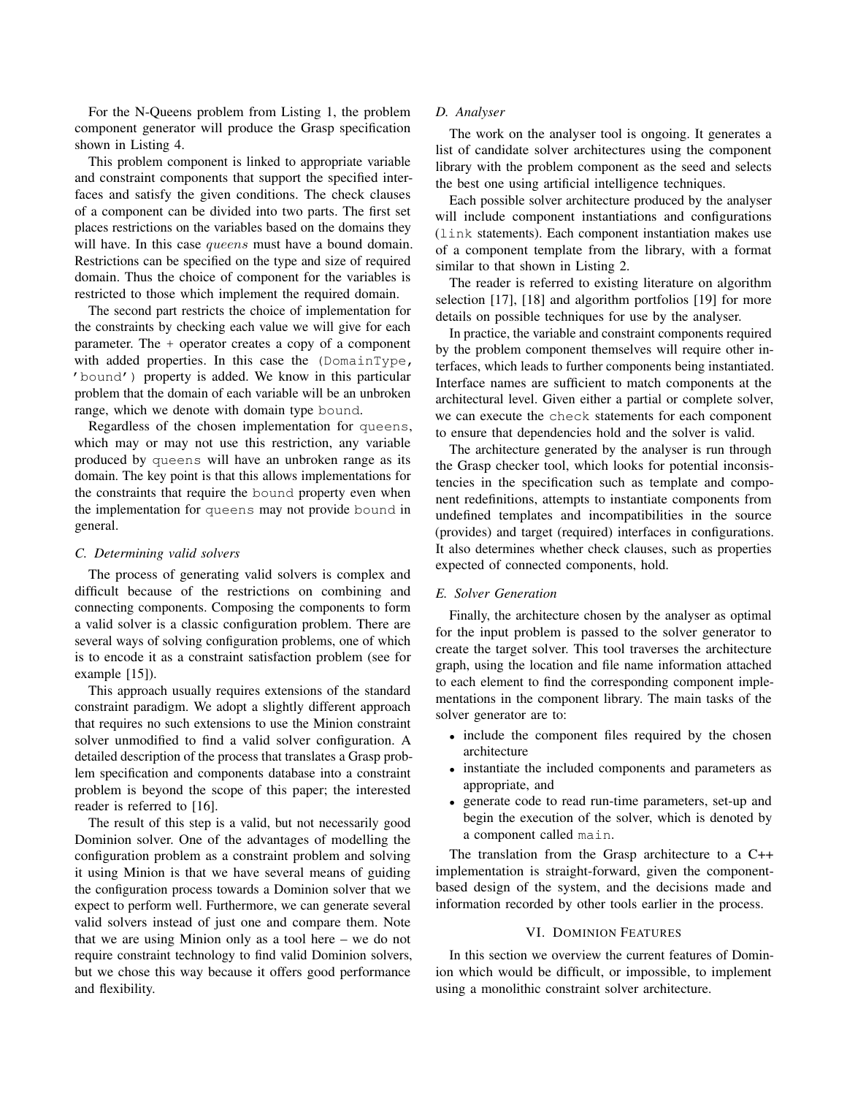For the N-Queens problem from Listing 1, the problem component generator will produce the Grasp specification shown in Listing 4.

This problem component is linked to appropriate variable and constraint components that support the specified interfaces and satisfy the given conditions. The check clauses of a component can be divided into two parts. The first set places restrictions on the variables based on the domains they will have. In this case *queens* must have a bound domain. Restrictions can be specified on the type and size of required domain. Thus the choice of component for the variables is restricted to those which implement the required domain.

The second part restricts the choice of implementation for the constraints by checking each value we will give for each parameter. The + operator creates a copy of a component with added properties. In this case the (DomainType, 'bound') property is added. We know in this particular problem that the domain of each variable will be an unbroken range, which we denote with domain type bound.

Regardless of the chosen implementation for queens, which may or may not use this restriction, any variable produced by queens will have an unbroken range as its domain. The key point is that this allows implementations for the constraints that require the bound property even when the implementation for queens may not provide bound in general.

## C. Determining valid solvers

The process of generating valid solvers is complex and difficult because of the restrictions on combining and connecting components. Composing the components to form a valid solver is a classic configuration problem. There are several ways of solving configuration problems, one of which is to encode it as a constraint satisfaction problem (see for example [15]).

This approach usually requires extensions of the standard constraint paradigm. We adopt a slightly different approach that requires no such extensions to use the Minion constraint solver unmodified to find a valid solver configuration. A detailed description of the process that translates a Grasp problem specification and components database into a constraint problem is beyond the scope of this paper; the interested reader is referred to [16].

The result of this step is a valid, but not necessarily good Dominion solver. One of the advantages of modelling the configuration problem as a constraint problem and solving it using Minion is that we have several means of guiding the configuration process towards a Dominion solver that we expect to perform well. Furthermore, we can generate several valid solvers instead of just one and compare them. Note that we are using Minion only as a tool here – we do not require constraint technology to find valid Dominion solvers, but we chose this way because it offers good performance and flexibility.

#### D. Analyser

The work on the analyser tool is ongoing. It generates a list of candidate solver architectures using the component library with the problem component as the seed and selects the best one using artificial intelligence techniques.

Each possible solver architecture produced by the analyser will include component instantiations and configurations (link statements). Each component instantiation makes use of a component template from the library, with a format similar to that shown in Listing 2.

The reader is referred to existing literature on algorithm selection [17], [18] and algorithm portfolios [19] for more details on possible techniques for use by the analyser.

In practice, the variable and constraint components required by the problem component themselves will require other interfaces, which leads to further components being instantiated. Interface names are sufficient to match components at the architectural level. Given either a partial or complete solver, we can execute the check statements for each component to ensure that dependencies hold and the solver is valid.

The architecture generated by the analyser is run through the Grasp checker tool, which looks for potential inconsistencies in the specification such as template and component redefinitions, attempts to instantiate components from undefined templates and incompatibilities in the source (provides) and target (required) interfaces in configurations. It also determines whether check clauses, such as properties expected of connected components, hold.

## E. Solver Generation

Finally, the architecture chosen by the analyser as optimal for the input problem is passed to the solver generator to create the target solver. This tool traverses the architecture graph, using the location and file name information attached to each element to find the corresponding component implementations in the component library. The main tasks of the solver generator are to:

- include the component files required by the chosen architecture
- instantiate the included components and parameters as appropriate, and
- generate code to read run-time parameters, set-up and begin the execution of the solver, which is denoted by a component called main.

The translation from the Grasp architecture to a C++ implementation is straight-forward, given the componentbased design of the system, and the decisions made and information recorded by other tools earlier in the process.

#### VI. DOMINION FEATURES

In this section we overview the current features of Dominion which would be difficult, or impossible, to implement using a monolithic constraint solver architecture.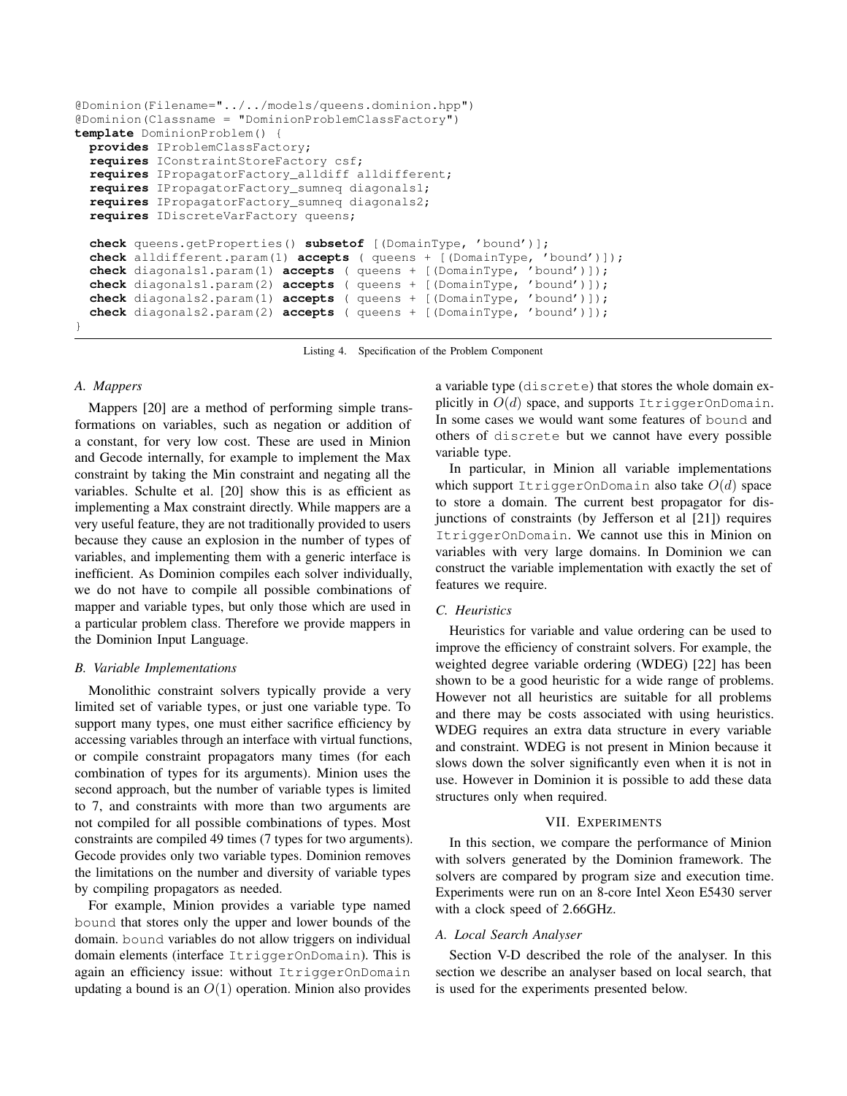```
@Dominion(Filename="../../models/queens.dominion.hpp")
@Dominion(Classname = "DominionProblemClassFactory")
template DominionProblem() {
 provides IProblemClassFactory;
  requires IConstraintStoreFactory csf;
  requires IPropagatorFactory_alldiff alldifferent;
  requires IPropagatorFactory_sumneq diagonals1;
  requires IPropagatorFactory_sumneq diagonals2;
  requires IDiscreteVarFactory queens;
  check queens.getProperties() subsetof [(DomainType, 'bound')];
  check alldifferent.param(1) accepts ( queens + [(DomainType, 'bound')]);
  check diagonals1.param(1) accepts ( queens + [(DomainType, 'bound')]);
  check diagonals1.param(2) accepts ( queens + [(DomainType, 'bound')]);
  check diagonals2.param(1) accepts ( queens + [(DomainType, 'bound')]);
  check diagonals2.param(2) accepts ( queens + [(DomainType, 'bound')]);
}
```
Listing 4. Specification of the Problem Component

#### A. Mappers

Mappers [20] are a method of performing simple transformations on variables, such as negation or addition of a constant, for very low cost. These are used in Minion and Gecode internally, for example to implement the Max constraint by taking the Min constraint and negating all the variables. Schulte et al. [20] show this is as efficient as implementing a Max constraint directly. While mappers are a very useful feature, they are not traditionally provided to users because they cause an explosion in the number of types of variables, and implementing them with a generic interface is inefficient. As Dominion compiles each solver individually, we do not have to compile all possible combinations of mapper and variable types, but only those which are used in a particular problem class. Therefore we provide mappers in the Dominion Input Language.

#### B. Variable Implementations

Monolithic constraint solvers typically provide a very limited set of variable types, or just one variable type. To support many types, one must either sacrifice efficiency by accessing variables through an interface with virtual functions, or compile constraint propagators many times (for each combination of types for its arguments). Minion uses the second approach, but the number of variable types is limited to 7, and constraints with more than two arguments are not compiled for all possible combinations of types. Most constraints are compiled 49 times (7 types for two arguments). Gecode provides only two variable types. Dominion removes the limitations on the number and diversity of variable types by compiling propagators as needed.

For example, Minion provides a variable type named bound that stores only the upper and lower bounds of the domain. bound variables do not allow triggers on individual domain elements (interface ItriggerOnDomain). This is again an efficiency issue: without ItriggerOnDomain updating a bound is an  $O(1)$  operation. Minion also provides a variable type (discrete) that stores the whole domain explicitly in  $O(d)$  space, and supports ItriggerOnDomain. In some cases we would want some features of bound and others of discrete but we cannot have every possible variable type.

In particular, in Minion all variable implementations which support ItriggerOnDomain also take  $O(d)$  space to store a domain. The current best propagator for disjunctions of constraints (by Jefferson et al [21]) requires ItriggerOnDomain. We cannot use this in Minion on variables with very large domains. In Dominion we can construct the variable implementation with exactly the set of features we require.

## C. Heuristics

Heuristics for variable and value ordering can be used to improve the efficiency of constraint solvers. For example, the weighted degree variable ordering (WDEG) [22] has been shown to be a good heuristic for a wide range of problems. However not all heuristics are suitable for all problems and there may be costs associated with using heuristics. WDEG requires an extra data structure in every variable and constraint. WDEG is not present in Minion because it slows down the solver significantly even when it is not in use. However in Dominion it is possible to add these data structures only when required.

# VII. EXPERIMENTS

In this section, we compare the performance of Minion with solvers generated by the Dominion framework. The solvers are compared by program size and execution time. Experiments were run on an 8-core Intel Xeon E5430 server with a clock speed of 2.66GHz.

## A. Local Search Analyser

Section V-D described the role of the analyser. In this section we describe an analyser based on local search, that is used for the experiments presented below.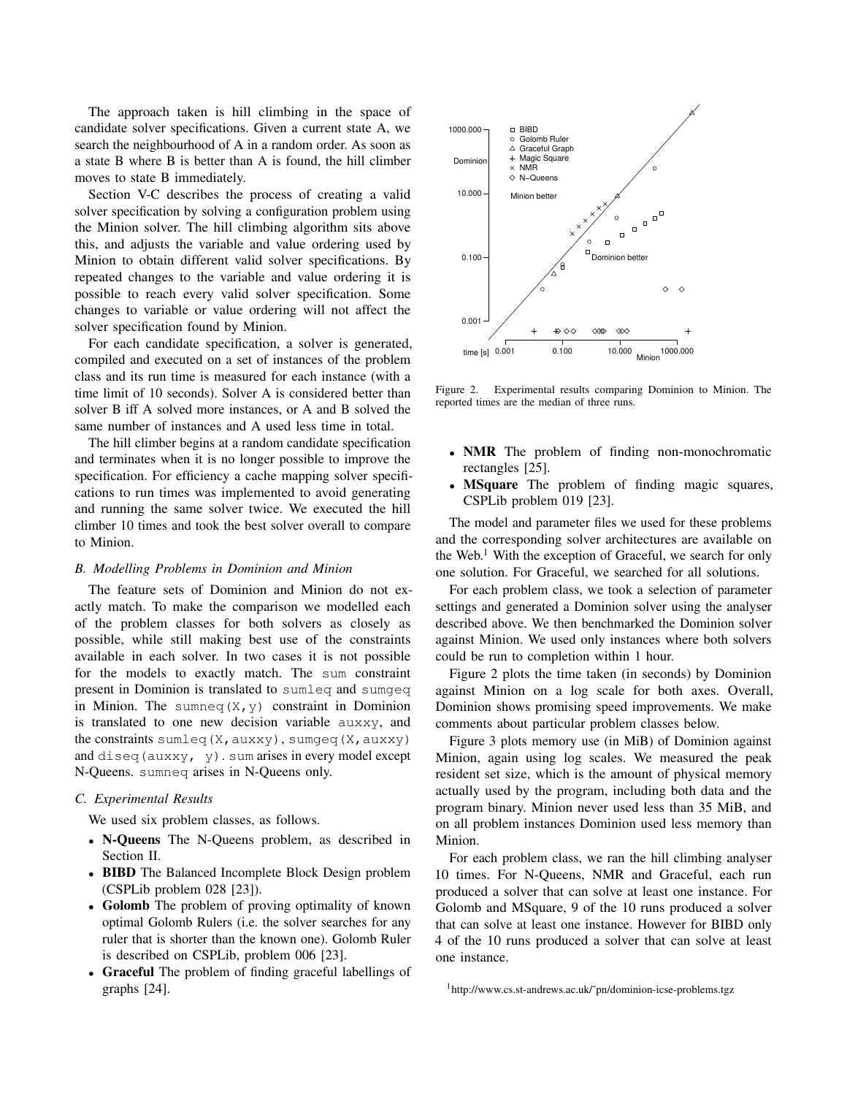The approach taken is hill climbing in the space of candidate solver specifications. Given a current state A, we search the neighbourhood of A in a random order. As soon as a state B where B is better than A is found, the hill climber moves to state B immediately.

Section V-C describes the process of creating a valid solver specification by solving a configuration problem using the Minion solver. The hill climbing algorithm sits above this, and adjusts the variable and value ordering used by Minion to obtain different valid solver specifications. By repeated changes to the variable and value ordering it is possible to reach every valid solver specification. Some changes to variable or value ordering will not affect the solver specification found by Minion.

For each candidate specification, a solver is generated, compiled and executed on a set of instances of the problem class and its run time is measured for each instance (with a time limit of 10 seconds). Solver A is considered better than solver B iff A solved more instances, or A and B solved the same number of instances and A used less time in total.

The hill climber begins at a random candidate specification and terminates when it is no longer possible to improve the specification. For efficiency a cache mapping solver specifications to run times was implemented to avoid generating and running the same solver twice. We executed the hill climber 10 times and took the best solver overall to compare to Minion.

## B. Modelling Problems in Dominion and Minion

The feature sets of Dominion and Minion do not exactly match. To make the comparison we modelled each of the problem classes for both solvers as closely as possible, while still making best use of the constraints available in each solver. In two cases it is not possible for the models to exactly match. The sum constraint present in Dominion is translated to sumleq and sumgeq in Minion. The sumneq(X, y) constraint in Dominion is translated to one new decision variable auxxy, and the constraints sumleq(X,  $auxxy$ ), sumgeq(X,  $auxxy$ ) and diseq(auxxy, y). sum arises in every model except N-Queens. sumneq arises in N-Queens only.

## C. Experimental Results

We used six problem classes, as follows.

- N-Queens The N-Queens problem, as described in Section II.
- **BIBD** The Balanced Incomplete Block Design problem (CSPLib problem 028 [23]).
- Golomb The problem of proving optimality of known optimal Golomb Rulers (i.e. the solver searches for any ruler that is shorter than the known one). Golomb Ruler is described on CSPLib, problem 006 [23].
- Graceful The problem of finding graceful labellings of graphs [24].



Figure 2. Experimental results comparing Dominion to Minion. The reported times are the median of three runs.

- **NMR** The problem of finding non-monochromatic rectangles [25].
- MSquare The problem of finding magic squares, CSPLib problem 019 [23].

The model and parameter files we used for these problems and the corresponding solver architectures are available on the Web.<sup>1</sup> With the exception of Graceful, we search for only one solution. For Graceful, we searched for all solutions.

For each problem class, we took a selection of parameter settings and generated a Dominion solver using the analyser described above. We then benchmarked the Dominion solver against Minion. We used only instances where both solvers could be run to completion within 1 hour.

Figure 2 plots the time taken (in seconds) by Dominion against Minion on a log scale for both axes. Overall, Dominion shows promising speed improvements. We make comments about particular problem classes below.

Figure 3 plots memory use (in MiB) of Dominion against Minion, again using log scales. We measured the peak resident set size, which is the amount of physical memory actually used by the program, including both data and the program binary. Minion never used less than 35 MiB, and on all problem instances Dominion used less memory than Minion.

For each problem class, we ran the hill climbing analyser 10 times. For N-Queens, NMR and Graceful, each run produced a solver that can solve at least one instance. For Golomb and MSquare, 9 of the 10 runs produced a solver that can solve at least one instance. However for BIBD only 4 of the 10 runs produced a solver that can solve at least one instance.

<sup>1</sup>http://www.cs.st-andrews.ac.uk/˜pn/dominion-icse-problems.tgz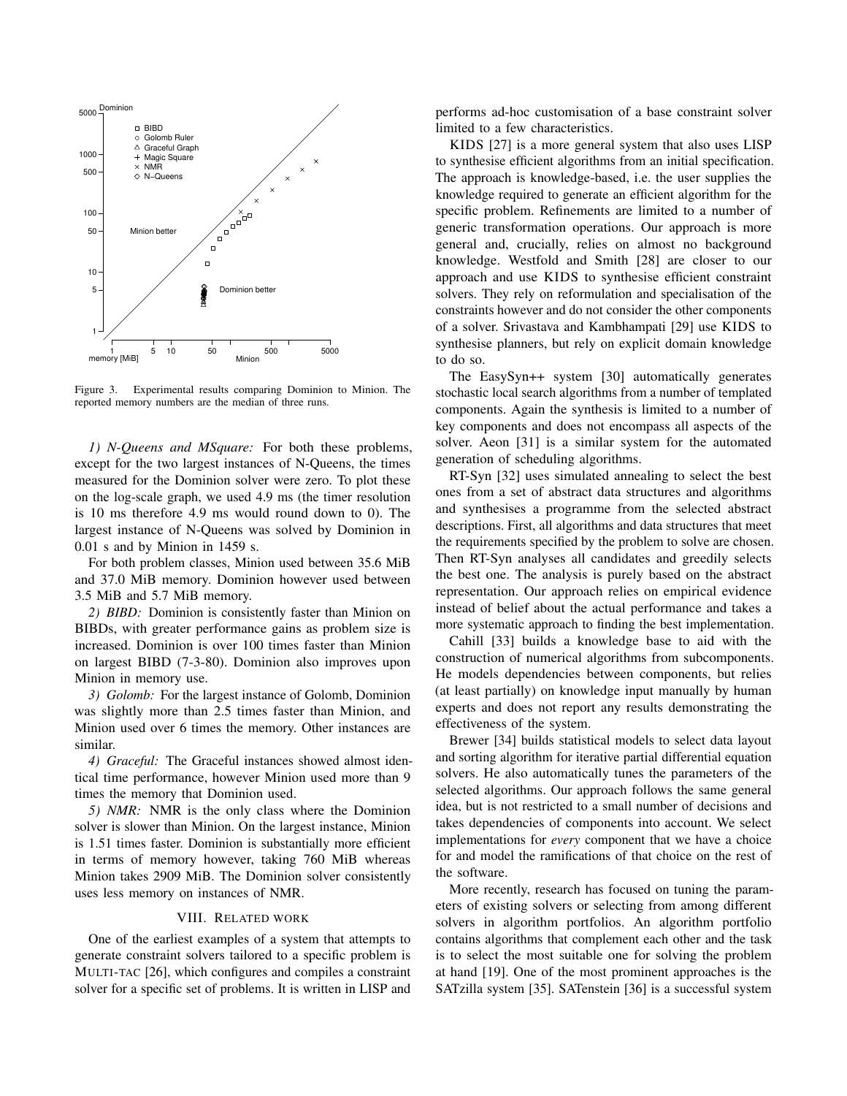

Figure 3. Experimental results comparing Dominion to Minion. The reported memory numbers are the median of three runs.

1) N-Queens and MSquare: For both these problems, except for the two largest instances of N-Queens, the times measured for the Dominion solver were zero. To plot these on the log-scale graph, we used 4.9 ms (the timer resolution is 10 ms therefore 4.9 ms would round down to 0). The largest instance of N-Queens was solved by Dominion in 0.01 s and by Minion in 1459 s.

For both problem classes, Minion used between 35.6 MiB and 37.0 MiB memory. Dominion however used between 3.5 MiB and 5.7 MiB memory.

2) BIBD: Dominion is consistently faster than Minion on BIBDs, with greater performance gains as problem size is increased. Dominion is over 100 times faster than Minion on largest BIBD (7-3-80). Dominion also improves upon Minion in memory use.

3) Golomb: For the largest instance of Golomb, Dominion was slightly more than 2.5 times faster than Minion, and Minion used over 6 times the memory. Other instances are similar.

4) Graceful: The Graceful instances showed almost identical time performance, however Minion used more than 9 times the memory that Dominion used.

5) NMR: NMR is the only class where the Dominion solver is slower than Minion. On the largest instance, Minion is 1.51 times faster. Dominion is substantially more efficient in terms of memory however, taking 760 MiB whereas Minion takes 2909 MiB. The Dominion solver consistently uses less memory on instances of NMR.

## VIII. RELATED WORK

One of the earliest examples of a system that attempts to generate constraint solvers tailored to a specific problem is MULTI-TAC [26], which configures and compiles a constraint solver for a specific set of problems. It is written in LISP and performs ad-hoc customisation of a base constraint solver limited to a few characteristics.

KIDS [27] is a more general system that also uses LISP to synthesise efficient algorithms from an initial specification. The approach is knowledge-based, i.e. the user supplies the knowledge required to generate an efficient algorithm for the specific problem. Refinements are limited to a number of generic transformation operations. Our approach is more general and, crucially, relies on almost no background knowledge. Westfold and Smith [28] are closer to our approach and use KIDS to synthesise efficient constraint solvers. They rely on reformulation and specialisation of the constraints however and do not consider the other components of a solver. Srivastava and Kambhampati [29] use KIDS to synthesise planners, but rely on explicit domain knowledge to do so.

The EasySyn++ system [30] automatically generates stochastic local search algorithms from a number of templated components. Again the synthesis is limited to a number of key components and does not encompass all aspects of the solver. Aeon [31] is a similar system for the automated generation of scheduling algorithms.

RT-Syn [32] uses simulated annealing to select the best ones from a set of abstract data structures and algorithms and synthesises a programme from the selected abstract descriptions. First, all algorithms and data structures that meet the requirements specified by the problem to solve are chosen. Then RT-Syn analyses all candidates and greedily selects the best one. The analysis is purely based on the abstract representation. Our approach relies on empirical evidence instead of belief about the actual performance and takes a more systematic approach to finding the best implementation.

Cahill [33] builds a knowledge base to aid with the construction of numerical algorithms from subcomponents. He models dependencies between components, but relies (at least partially) on knowledge input manually by human experts and does not report any results demonstrating the effectiveness of the system.

Brewer [34] builds statistical models to select data layout and sorting algorithm for iterative partial differential equation solvers. He also automatically tunes the parameters of the selected algorithms. Our approach follows the same general idea, but is not restricted to a small number of decisions and takes dependencies of components into account. We select implementations for every component that we have a choice for and model the ramifications of that choice on the rest of the software.

More recently, research has focused on tuning the parameters of existing solvers or selecting from among different solvers in algorithm portfolios. An algorithm portfolio contains algorithms that complement each other and the task is to select the most suitable one for solving the problem at hand [19]. One of the most prominent approaches is the SATzilla system [35]. SATenstein [36] is a successful system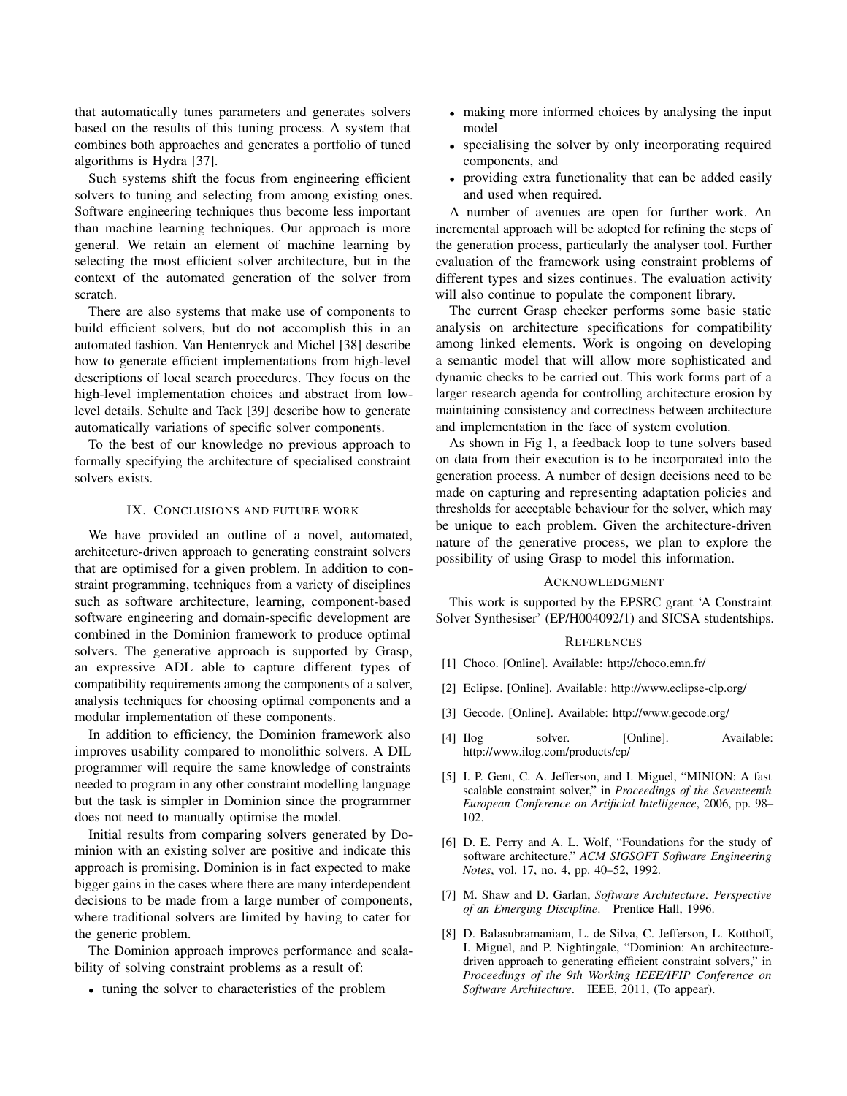that automatically tunes parameters and generates solvers based on the results of this tuning process. A system that combines both approaches and generates a portfolio of tuned algorithms is Hydra [37].

Such systems shift the focus from engineering efficient solvers to tuning and selecting from among existing ones. Software engineering techniques thus become less important than machine learning techniques. Our approach is more general. We retain an element of machine learning by selecting the most efficient solver architecture, but in the context of the automated generation of the solver from scratch.

There are also systems that make use of components to build efficient solvers, but do not accomplish this in an automated fashion. Van Hentenryck and Michel [38] describe how to generate efficient implementations from high-level descriptions of local search procedures. They focus on the high-level implementation choices and abstract from lowlevel details. Schulte and Tack [39] describe how to generate automatically variations of specific solver components.

To the best of our knowledge no previous approach to formally specifying the architecture of specialised constraint solvers exists.

## IX. CONCLUSIONS AND FUTURE WORK

We have provided an outline of a novel, automated, architecture-driven approach to generating constraint solvers that are optimised for a given problem. In addition to constraint programming, techniques from a variety of disciplines such as software architecture, learning, component-based software engineering and domain-specific development are combined in the Dominion framework to produce optimal solvers. The generative approach is supported by Grasp, an expressive ADL able to capture different types of compatibility requirements among the components of a solver, analysis techniques for choosing optimal components and a modular implementation of these components.

In addition to efficiency, the Dominion framework also improves usability compared to monolithic solvers. A DIL programmer will require the same knowledge of constraints needed to program in any other constraint modelling language but the task is simpler in Dominion since the programmer does not need to manually optimise the model.

Initial results from comparing solvers generated by Dominion with an existing solver are positive and indicate this approach is promising. Dominion is in fact expected to make bigger gains in the cases where there are many interdependent decisions to be made from a large number of components, where traditional solvers are limited by having to cater for the generic problem.

The Dominion approach improves performance and scalability of solving constraint problems as a result of:

• tuning the solver to characteristics of the problem

- making more informed choices by analysing the input model
- specialising the solver by only incorporating required components, and
- providing extra functionality that can be added easily and used when required.

A number of avenues are open for further work. An incremental approach will be adopted for refining the steps of the generation process, particularly the analyser tool. Further evaluation of the framework using constraint problems of different types and sizes continues. The evaluation activity will also continue to populate the component library.

The current Grasp checker performs some basic static analysis on architecture specifications for compatibility among linked elements. Work is ongoing on developing a semantic model that will allow more sophisticated and dynamic checks to be carried out. This work forms part of a larger research agenda for controlling architecture erosion by maintaining consistency and correctness between architecture and implementation in the face of system evolution.

As shown in Fig 1, a feedback loop to tune solvers based on data from their execution is to be incorporated into the generation process. A number of design decisions need to be made on capturing and representing adaptation policies and thresholds for acceptable behaviour for the solver, which may be unique to each problem. Given the architecture-driven nature of the generative process, we plan to explore the possibility of using Grasp to model this information.

#### ACKNOWLEDGMENT

This work is supported by the EPSRC grant 'A Constraint Solver Synthesiser' (EP/H004092/1) and SICSA studentships.

#### **REFERENCES**

- [1] Choco. [Online]. Available: http://choco.emn.fr/
- [2] Eclipse. [Online]. Available: http://www.eclipse-clp.org/
- [3] Gecode. [Online]. Available: http://www.gecode.org/
- [4] Ilog solver. [Online]. Available: http://www.ilog.com/products/cp/
- [5] I. P. Gent, C. A. Jefferson, and I. Miguel, "MINION: A fast scalable constraint solver," in Proceedings of the Seventeenth European Conference on Artificial Intelligence, 2006, pp. 98– 102.
- [6] D. E. Perry and A. L. Wolf, "Foundations for the study of software architecture," ACM SIGSOFT Software Engineering Notes, vol. 17, no. 4, pp. 40–52, 1992.
- [7] M. Shaw and D. Garlan, Software Architecture: Perspective of an Emerging Discipline. Prentice Hall, 1996.
- [8] D. Balasubramaniam, L. de Silva, C. Jefferson, L. Kotthoff, I. Miguel, and P. Nightingale, "Dominion: An architecturedriven approach to generating efficient constraint solvers," in Proceedings of the 9th Working IEEE/IFIP Conference on Software Architecture. IEEE, 2011, (To appear).